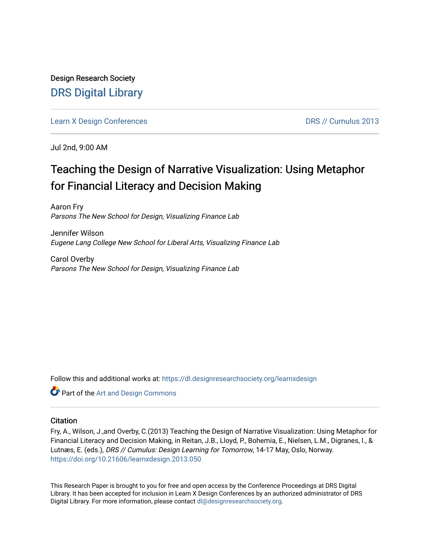Design Research Society [DRS Digital Library](https://dl.designresearchsociety.org/)

[Learn X Design Conferences](https://dl.designresearchsociety.org/learnxdesign) **DRS // Cumulus 2013** 

Jul 2nd, 9:00 AM

# Teaching the Design of Narrative Visualization: Using Metaphor for Financial Literacy and Decision Making

Aaron Fry Parsons The New School for Design, Visualizing Finance Lab

Jennifer Wilson Eugene Lang College New School for Liberal Arts, Visualizing Finance Lab

Carol Overby Parsons The New School for Design, Visualizing Finance Lab

Follow this and additional works at: [https://dl.designresearchsociety.org/learnxdesign](https://dl.designresearchsociety.org/learnxdesign?utm_source=dl.designresearchsociety.org%2Flearnxdesign%2Flearnxdesign2013%2Fresearchpapers%2F50&utm_medium=PDF&utm_campaign=PDFCoverPages)

**Part of the [Art and Design Commons](http://network.bepress.com/hgg/discipline/1049?utm_source=dl.designresearchsociety.org%2Flearnxdesign%2Flearnxdesign2013%2Fresearchpapers%2F50&utm_medium=PDF&utm_campaign=PDFCoverPages)** 

## **Citation**

Fry, A., Wilson, J.,and Overby, C.(2013) Teaching the Design of Narrative Visualization: Using Metaphor for Financial Literacy and Decision Making, in Reitan, J.B., Lloyd, P., Bohemia, E., Nielsen, L.M., Digranes, I., & Lutnæs, E. (eds.), DRS // Cumulus: Design Learning for Tomorrow, 14-17 May, Oslo, Norway. <https://doi.org/10.21606/learnxdesign.2013.050>

This Research Paper is brought to you for free and open access by the Conference Proceedings at DRS Digital Library. It has been accepted for inclusion in Learn X Design Conferences by an authorized administrator of DRS Digital Library. For more information, please contact [dl@designresearchsociety.org](mailto:dl@designresearchsociety.org).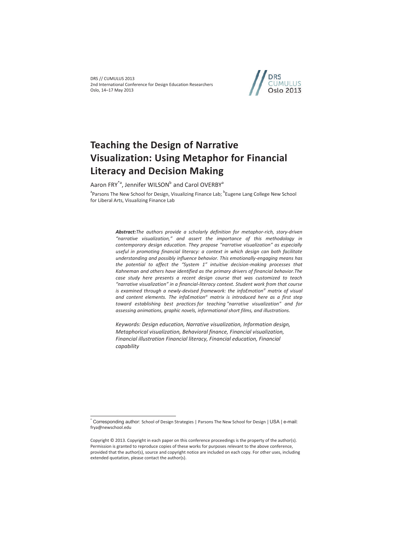DRS // CUMULUS 2013 2nd International Conference for Design Education Researchers Oslo, 14–17 May 2013



# **Teaching the Design of Narrative Visualization: Using Metaphor for Financial Literacy and Decision Making**

Aaron FRY<sup>\*a</sup>, Jennifer WILSON<sup>b</sup> and Carol OVERBY<sup>a</sup>

<sup>a</sup>Parsons The New School for Design, Visualizing Finance Lab; <sup>b</sup>Eugene Lang College New School for Liberal Arts, Visualizing Finance Lab

> *Abstract:The authors provide a scholarly definition for metaphor-rich, story-driven "narrative visualization," and assert the importance of this methodology in contemporary design education. They propose "narrative visualization" as especially useful in promoting financial literacy: a context in which design can both facilitate understanding and possibly influence behavior. This emotionally-engaging means has the potential to affect the "System 1" intuitive decision-making processes that Kahneman and others have identified as the primary drivers of financial behavior.The case study here presents a recent design course that was customized to teach "narrative visualization" in a financial-literacy context. Student work from that course is examined through a newly-devised framework: the infoEmotion© matrix of visual and content elements. The infoEmotion© matrix is introduced here as a first step toward establishing best practices for teaching "narrative visualization" and for assessing animations, graphic novels, informational short films, and illustrations.*

*Keywords: Design education, Narrative visualization, Information design, Metaphorical visualization, Behavioral finance, Financial visualization, Financial illustration Financial literacy, Financial education, Financial capability* 

 $\overline{a}$ 

<sup>\*</sup> Corresponding author: School of Design Strategies | Parsons The New School for Design | USA | e-mail: frya@newschool.edu

Copyright © 2013. Copyright in each paper on this conference proceedings is the property of the author(s). Permission is granted to reproduce copies of these works for purposes relevant to the above conference, provided that the author(s), source and copyright notice are included on each copy. For other uses, including extended quotation, please contact the author(s).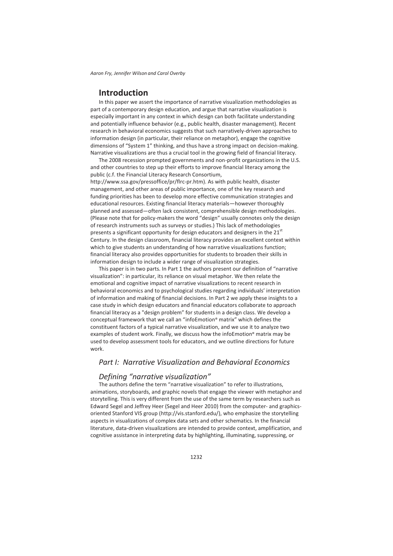# **Introduction**

In this paper we assert the importance of narrative visualization methodologies as part of a contemporary design education, and argue that narrative visualization is especially important in any context in which design can both facilitate understanding and potentially influence behavior (e.g., public health, disaster management). Recent research in behavioral economics suggests that such narratively-driven approaches to information design (in particular, their reliance on metaphor), engage the cognitive dimensions of "System 1" thinking, and thus have a strong impact on decision-making. Narrative visualizations are thus a crucial tool in the growing field of financial literacy.

The 2008 recession prompted governments and non-profit organizations in the U.S. and other countries to step up their efforts to improve financial literacy among the public (c.f. the Financial Literacy Research Consortium,

http://www.ssa.gov/pressoffice/pr/flrc-pr.htm). As with public health, disaster management, and other areas of public importance, one of the key research and funding priorities has been to develop more effective communication strategies and educational resources. Existing financial literacy materials—however thoroughly planned and assessed—often lack consistent, comprehensible design methodologies. (Please note that for policy-makers the word "design" usually connotes only the design of research instruments such as surveys or studies.) This lack of methodologies presents a significant opportunity for design educators and designers in the  $21<sup>st</sup>$ Century. In the design classroom, financial literacy provides an excellent context within which to give students an understanding of how narrative visualizations function; financial literacy also provides opportunities for students to broaden their skills in information design to include a wider range of visualization strategies.

This paper is in two parts. In Part 1 the authors present our definition of "narrative visualization": in particular, its reliance on visual metaphor. We then relate the emotional and cognitive impact of narrative visualizations to recent research in behavioral economics and to psychological studies regarding individuals' interpretation of information and making of financial decisions. In Part 2 we apply these insights to a case study in which design educators and financial educators collaborate to approach financial literacy as a "design problem" for students in a design class. We develop a conceptual framework that we call an "infoEmotion**©** matrix" which defines the constituent factors of a typical narrative visualization, and we use it to analyze two examples of student work. Finally, we discuss how the infoEmotion**©** matrix may be used to develop assessment tools for educators, and we outline directions for future work.

## *Part I: Narrative Visualization and Behavioral Economics*

## *Defining "narrative visualization"*

The authors define the term "narrative visualization" to refer to illustrations, animations, storyboards, and graphic novels that engage the viewer with metaphor and storytelling. This is very different from the use of the same term by researchers such as Edward Segel and Jeffrey Heer (Segel and Heer 2010) from the computer- and graphicsoriented Stanford VIS group (http://vis.stanford.edu/), who emphasize the storytelling aspects in visualizations of complex data sets and other schematics. In the financial literature, data-driven visualizations are intended to provide context, amplification, and cognitive assistance in interpreting data by highlighting, illuminating, suppressing, or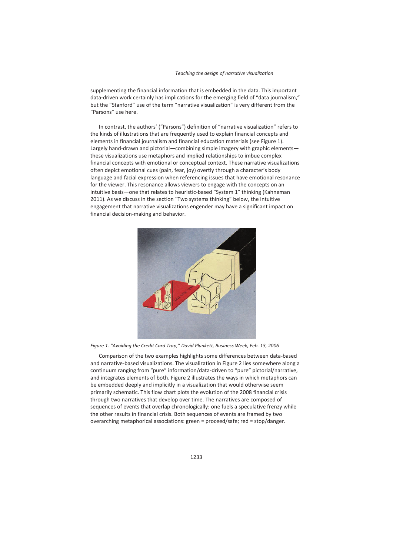supplementing the financial information that is embedded in the data. This important data-driven work certainly has implications for the emerging field of "data journalism," but the "Stanford" use of the term "narrative visualization" is very different from the "Parsons" use here.

In contrast, the authors' ("Parsons") definition of "narrative visualization" refers to the kinds of illustrations that are frequently used to explain financial concepts and elements in financial journalism and financial education materials (see Figure 1). Largely hand-drawn and pictorial—combining simple imagery with graphic elements these visualizations use metaphors and implied relationships to imbue complex financial concepts with emotional or conceptual context. These narrative visualizations often depict emotional cues (pain, fear, joy) overtly through a character's body language and facial expression when referencing issues that have emotional resonance for the viewer. This resonance allows viewers to engage with the concepts on an intuitive basis—one that relates to heuristic-based "System 1" thinking (Kahneman 2011). As we discuss in the section "Two systems thinking" below, the intuitive engagement that narrative visualizations engender may have a significant impact on financial decision-making and behavior.



*Figure 1. "Avoiding the Credit Card Trap," David Plunkett, Business Week, Feb. 13, 2006* 

Comparison of the two examples highlights some differences between data-based and narrative-based visualizations. The visualization in Figure 2 lies somewhere along a continuum ranging from "pure" information/data-driven to "pure" pictorial/narrative, and integrates elements of both. Figure 2 illustrates the ways in which metaphors can be embedded deeply and implicitly in a visualization that would otherwise seem primarily schematic. This flow chart plots the evolution of the 2008 financial crisis through two narratives that develop over time. The narratives are composed of sequences of events that overlap chronologically: one fuels a speculative frenzy while the other results in financial crisis. Both sequences of events are framed by two overarching metaphorical associations: green = proceed/safe; red = stop/danger.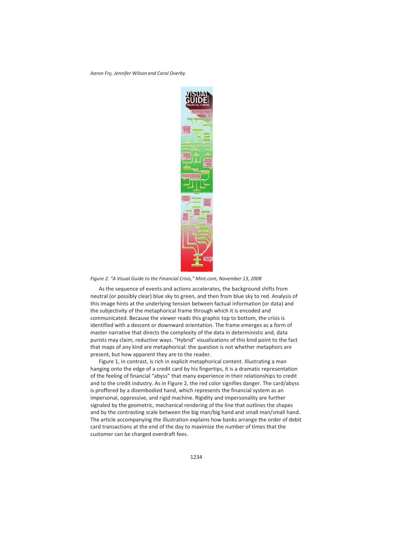

*Figure 2. "A Visual Guide to the Financial Crisis," Mint.com, November 13, 2008* 

As the sequence of events and actions accelerates, the background shifts from neutral (or possibly clear) blue sky to green, and then from blue sky to red. Analysis of this image hints at the underlying tension between factual information (or data) and the subjectivity of the metaphorical frame through which it is encoded and communicated. Because the viewer reads this graphic top to bottom, the crisis is identified with a descent or downward orientation. The frame emerges as a form of master narrative that directs the complexity of the data in deterministic and, data purists may claim, reductive ways. "Hybrid" visualizations of this kind point to the fact that maps of any kind are metaphorical: the question is not whether metaphors are present, but how apparent they are to the reader.

Figure 1, in contrast, is rich in explicit metaphorical content. Illustrating a man hanging onto the edge of a credit card by his fingertips, it is a dramatic representation of the feeling of financial "abyss" that many experience in their relationships to credit and to the credit industry. As in Figure 2, the red color signifies danger. The card/abyss is proffered by a disembodied hand, which represents the financial system as an impersonal, oppressive, and rigid machine. Rigidity and impersonality are further signaled by the geometric, mechanical rendering of the line that outlines the shapes and by the contrasting scale between the big man/big hand and small man/small hand. The article accompanying the illustration explains how banks arrange the order of debit card transactions at the end of the day to maximize the number of times that the customer can be charged overdraft fees.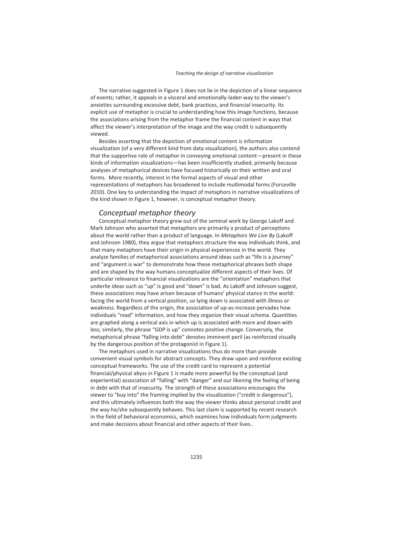The narrative suggested in Figure 1 does not lie in the depiction of a linear sequence of events; rather, it appeals in a visceral and emotionally-laden way to the viewer's anxieties surrounding excessive debt, bank practices, and financial insecurity. Its explicit use of metaphor is crucial to understanding how this image functions, because the associations arising from the metaphor frame the financial content in ways that affect the viewer's interpretation of the image and the way credit is subsequently viewed.

Besides asserting that the depiction of emotional content *is* information visualization (of a very different kind from data visualization), the authors also contend that the supportive role of metaphor in conveying emotional content—present in these kinds of information visualizations—has been insufficiently studied, primarily because analyses of metaphorical devices have focused historically on their written and oral forms. More recently, interest in the formal aspects of visual and other representations of metaphors has broadened to include multimodal forms (Forceville 2010). One key to understanding the impact of metaphors in narrative visualizations of the kind shown in Figure 1, however, is conceptual metaphor theory.

## *Conceptual metaphor theory*

Conceptual metaphor theory grew out of the seminal work by George Lakoff and Mark Johnson who asserted that metaphors are primarily a product of perceptions about the world rather than a product of language. In *Metaphors We Live By* (Lakoff and Johnson 1980), they argue that metaphors structure the way individuals think, and that many metaphors have their origin in physical experiences in the world. They analyze families of metaphorical associations around ideas such as "life is a journey" and "argument is war" to demonstrate how these metaphorical phrases both shape and are shaped by the way humans conceptualize different aspects of their lives. Of particular relevance to financial visualizations are the "orientation" metaphors that underlie ideas such as "up" is good and "down" is bad. As Lakoff and Johnson suggest, these associations may have arisen because of humans' physical stance in the world: facing the world from a vertical position, so lying down is associated with illness or weakness. Regardless of the origin, the association of up-as-increase pervades how individuals "read" information, and how they organize their visual schema. Quantities are graphed along a vertical axis in which up is associated with more and down with less; similarly, the phrase "GDP is up" connotes positive change. Conversely, the metaphorical phrase "falling into debt" denotes imminent peril (as reinforced visually by the dangerous position of the protagonist in Figure 1).

The metaphors used in narrative visualizations thus do more than provide convenient visual symbols for abstract concepts. They draw upon and reinforce existing conceptual frameworks. The use of the credit card to represent a potential financial/physical abyss in Figure 1 is made more powerful by the conceptual (and experiential) association of "falling" with "danger" and our likening the feeling of being in debt with that of insecurity. The strength of these associations encourages the viewer to "buy into" the framing implied by the visualization ("credit is dangerous"), and this ultimately influences both the way the viewer thinks about personal credit and the way he/she subsequently behaves. This last claim is supported by recent research in the field of behavioral economics, which examines how individuals form judgments and make decisions about financial and other aspects of their lives..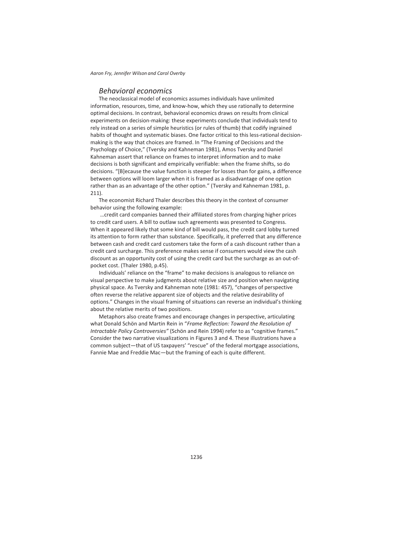## *Behavioral economics*

The neoclassical model of economics assumes individuals have unlimited information, resources, time, and know-how, which they use rationally to determine optimal decisions. In contrast, behavioral economics draws on results from clinical experiments on decision-making: these experiments conclude that individuals tend to rely instead on a series of simple heuristics (or rules of thumb) that codify ingrained habits of thought and systematic biases. One factor critical to this less-rational decisionmaking is the way that choices are framed. In "The Framing of Decisions and the Psychology of Choice," (Tversky and Kahneman 1981), Amos Tversky and Daniel Kahneman assert that reliance on frames to interpret information and to make decisions is both significant and empirically verifiable: when the frame shifts, so do decisions. "[B]ecause the value function is steeper for losses than for gains, a difference between options will loom larger when it is framed as a disadvantage of one option rather than as an advantage of the other option." (Tversky and Kahneman 1981, p. 211).

The economist Richard Thaler describes this theory in the context of consumer behavior using the following example:

 …credit card companies banned their affiliated stores from charging higher prices to credit card users. A bill to outlaw such agreements was presented to Congress. When it appeared likely that some kind of bill would pass, the credit card lobby turned its attention to form rather than substance. Specifically, it preferred that any difference between cash and credit card customers take the form of a cash discount rather than a credit card surcharge. This preference makes sense if consumers would view the cash discount as an opportunity cost of using the credit card but the surcharge as an out-ofpocket cost. (Thaler 1980, p.45).

Individuals' reliance on the "frame" to make decisions is analogous to reliance on visual perspective to make judgments about relative size and position when navigating physical space. As Tversky and Kahneman note (1981: 457), "changes of perspective often reverse the relative apparent size of objects and the relative desirability of options." Changes in the visual framing of situations can reverse an individual's thinking about the relative merits of two positions.

Metaphors also create frames and encourage changes in perspective, articulating what Donald Schön and Martin Rein in "*Frame Reflection: Toward the Resolution of Intractable Policy Controversies"* (Schön and Rein 1994) refer to as "cognitive frames." Consider the two narrative visualizations in Figures 3 and 4. These illustrations have a common subject—that of US taxpayers' "rescue" of the federal mortgage associations, Fannie Mae and Freddie Mac—but the framing of each is quite different.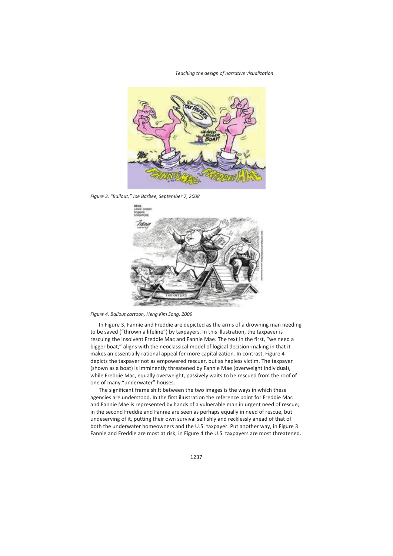

*Figure 3. "Bailout," Joe Barbee, September 7, 2008* 



*Figure 4. Bailout cartoon, Heng Kim Song, 2009* 

In Figure 3, Fannie and Freddie are depicted as the arms of a drowning man needing to be saved ("thrown a lifeline") by taxpayers. In this illustration, the taxpayer is rescuing the insolvent Freddie Mac and Fannie Mae. The text in the first, "we need a bigger boat," aligns with the neoclassical model of logical decision-making in that it makes an essentially rational appeal for more capitalization. In contrast, Figure 4 depicts the taxpayer not as empowered rescuer, but as hapless victim. The taxpayer (shown as a boat) is imminently threatened by Fannie Mae (overweight individual), while Freddie Mac, equally overweight, passively waits to be rescued from the roof of one of many "underwater" houses.

The significant frame shift between the two images is the ways in which these agencies are understood. In the first illustration the reference point for Freddie Mac and Fannie Mae is represented by hands of a vulnerable man in urgent need of rescue; in the second Freddie and Fannie are seen as perhaps equally in need of rescue, but undeserving of it, putting their own survival selfishly and recklessly ahead of that of both the underwater homeowners and the U.S. taxpayer. Put another way, in Figure 3 Fannie and Freddie are most at risk; in Figure 4 the U.S. taxpayers are most threatened.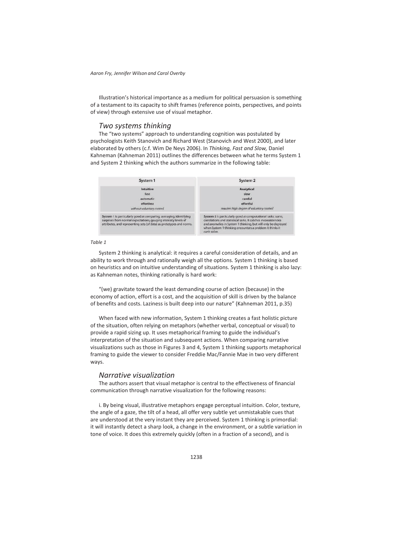Illustration's historical importance as a medium for political persuasion is something of a testament to its capacity to shift frames (reference points, perspectives, and points of view) through extensive use of visual metaphor.

### *Two systems thinking*

The "two systems" approach to understanding cognition was postulated by psychologists Keith Stanovich and Richard West (Stanovich and West 2000), and later elaborated by others (c.f. Wim De Neys 2006). In *Thinking, Fast and Slow,* Daniel Kahneman (Kahneman 2011) outlines the differences between what he terms System 1 and System 2 thinking which the authors summarize in the following table:



#### *Table 1*

System 2 thinking is analytical: it requires a careful consideration of details, and an ability to work through and rationally weigh all the options. System 1 thinking is based on heuristics and on intuitive understanding of situations. System 1 thinking is also lazy: as Kahneman notes, thinking rationally is hard work:

"(we) gravitate toward the least demanding course of action (because) in the economy of action, effort is a cost, and the acquisition of skill is driven by the balance of benefits and costs. Laziness is built deep into our nature" (Kahneman 2011, p.35)

When faced with new information, System 1 thinking creates a fast holistic picture of the situation, often relying on metaphors (whether verbal, conceptual or visual) to provide a rapid sizing up. It uses metaphorical framing to guide the individual's interpretation of the situation and subsequent actions. When comparing narrative visualizations such as those in Figures 3 and 4, System 1 thinking supports metaphorical framing to guide the viewer to consider Freddie Mac/Fannie Mae in two very different ways.

## *Narrative visualization*

The authors assert that visual metaphor is central to the effectiveness of financial communication through narrative visualization for the following reasons:

i. By being visual, illustrative metaphors engage perceptual intuition. Color, texture, the angle of a gaze, the tilt of a head, all offer very subtle yet unmistakable cues that are understood at the very instant they are perceived. System 1 thinking is primordial: it will instantly detect a sharp look, a change in the environment, or a subtle variation in tone of voice. It does this extremely quickly (often in a fraction of a second), and is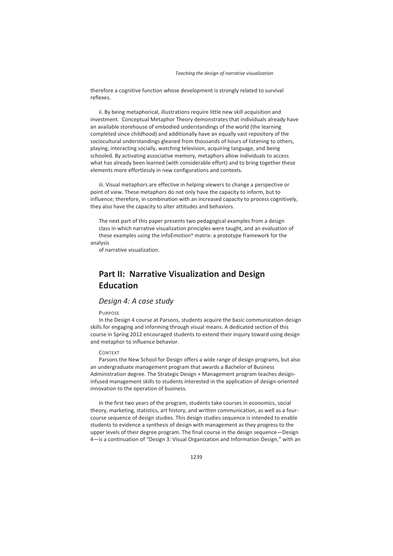therefore a cognitive function whose development is strongly related to survival reflexes.

ii. By being metaphorical, illustrations require little new skill acquisition and investment. Conceptual Metaphor Theory demonstrates that individuals already have an available storehouse of embodied understandings of the world (the learning completed since childhood) and additionally have an equally vast repository of the sociocultural understandings gleaned from thousands of hours of listening to others, playing, interacting socially, watching television, acquiring language, and being schooled. By activating associative memory, metaphors allow individuals to access what has already been learned (with considerable effort) and to bring together these elements more effortlessly in new configurations and contexts.

iii. Visual metaphors are effective in helping viewers to change a perspective or point of view. These metaphors do not only have the capacity to inform, but to influence; therefore, in combination with an increased capacity to process cognitively, they also have the capacity to alter attitudes and behaviors.

The next part of this paper presents two pedagogical examples from a design class in which narrative visualization principles were taught, and an evaluation of these examples using the infoEmotion**©** matrix: a prototype framework for the analysis

of narrative visualization.

# **Part II: Narrative Visualization and Design Education**

### *Design 4: A case study*

#### **PURPOSE**

In the Design 4 course at Parsons, students acquire the basic communication-design skills for engaging and informing through visual means. A dedicated section of this course in Spring 2012 encouraged students to extend their inquiry toward using design and metaphor to influence behavior.

#### CONTEXT

Parsons the New School for Design offers a wide range of design programs, but also an undergraduate management program that awards a Bachelor of Business Administration degree. The Strategic Design + Management program teaches designinfused management skills to students interested in the application of design-oriented innovation to the operation of business.

In the first two years of the program, students take courses in economics, social theory, marketing, statistics, art history, and written communication, as well as a fourcourse sequence of design studies. This design studies sequence is intended to enable students to evidence a synthesis of design with management as they progress to the upper levels of their degree program. The final course in the design sequence—Design 4—is a continuation of "Design 3: Visual Organization and Information Design," with an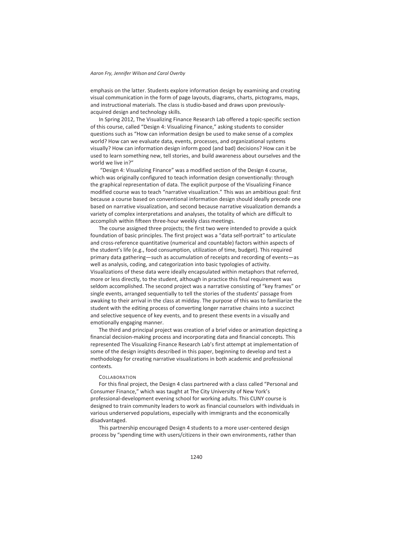emphasis on the latter. Students explore information design by examining and creating visual communication in the form of page layouts, diagrams, charts, pictograms, maps, and instructional materials. The class is studio-based and draws upon previouslyacquired design and technology skills.

In Spring 2012, The Visualizing Finance Research Lab offered a topic-specific section of this course, called "Design 4: Visualizing Finance," asking students to consider questions such as "How can information design be used to make sense of a complex world? How can we evaluate data, events, processes, and organizational systems visually? How can information design inform good (and bad) decisions? How can it be used to learn something new, tell stories, and build awareness about ourselves and the world we live in?"

 "Design 4: Visualizing Finance" was a modified section of the Design 4 course, which was originally configured to teach information design conventionally: through the graphical representation of data. The explicit purpose of the Visualizing Finance modified course was to teach "narrative visualization." This was an ambitious goal: first because a course based on conventional information design should ideally precede one based on narrative visualization, and second because narrative visualization demands a variety of complex interpretations and analyses, the totality of which are difficult to accomplish within fifteen three-hour weekly class meetings.

The course assigned three projects; the first two were intended to provide a quick foundation of basic principles. The first project was a "data self-portrait" to articulate and cross-reference quantitative (numerical and countable) factors within aspects of the student's life (e.g., food consumption, utilization of time, budget). This required primary data gathering—such as accumulation of receipts and recording of events—as well as analysis, coding, and categorization into basic typologies of activity. Visualizations of these data were ideally encapsulated within metaphors that referred, more or less directly, to the student, although in practice this final requirement was seldom accomplished. The second project was a narrative consisting of "key frames" or single events, arranged sequentially to tell the stories of the students' passage from awaking to their arrival in the class at midday. The purpose of this was to familiarize the student with the editing process of converting longer narrative chains into a succinct and selective sequence of key events, and to present these events in a visually and emotionally engaging manner.

The third and principal project was creation of a brief video or animation depicting a financial decision-making process and incorporating data and financial concepts. This represented The Visualizing Finance Research Lab's first attempt at implementation of some of the design insights described in this paper, beginning to develop and test a methodology for creating narrative visualizations in both academic and professional contexts.

#### **COLLABORATION**

For this final project, the Design 4 class partnered with a class called "Personal and Consumer Finance," which was taught at The City University of New York's professional-development evening school for working adults. This CUNY course is designed to train community leaders to work as financial counselors with individuals in various underserved populations, especially with immigrants and the economically disadvantaged.

This partnership encouraged Design 4 students to a more user-centered design process by "spending time with users/citizens in their own environments, rather than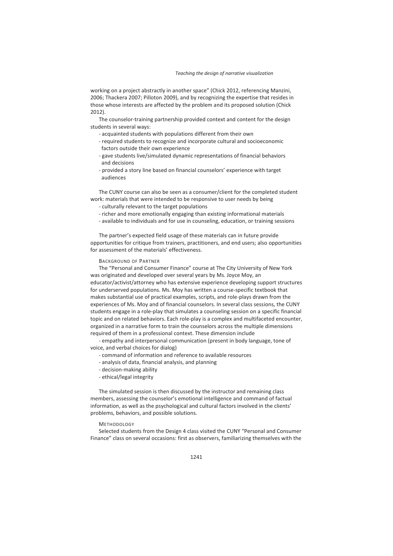working on a project abstractly in another space" (Chick 2012, referencing Manzini, 2006; Thackera 2007; Pilloton 2009), and by recognizing the expertise that resides in those whose interests are affected by the problem and its proposed solution (Chick 2012).

The counselor-training partnership provided context and content for the design students in several ways:

- acquainted students with populations different from their own
- required students to recognize and incorporate cultural and socioeconomic factors outside their own experience
- gave students live/simulated dynamic representations of financial behaviors and decisions
- provided a story line based on financial counselors' experience with target audiences

The CUNY course can also be seen as a consumer/client for the completed student work: materials that were intended to be responsive to user needs by being

- culturally relevant to the target populations
- richer and more emotionally engaging than existing informational materials
- available to individuals and for use in counseling, education, or training sessions

The partner's expected field usage of these materials can in future provide opportunities for critique from trainers, practitioners, and end users; also opportunities for assessment of the materials' effectiveness.

#### BACKGROUND OF PARTNER

The "Personal and Consumer Finance" course at The City University of New York was originated and developed over several years by Ms. Joyce Moy, an educator/activist/attorney who has extensive experience developing support structures for underserved populations. Ms. Moy has written a course-specific textbook that makes substantial use of practical examples, scripts, and role-plays drawn from the experiences of Ms. Moy and of financial counselors. In several class sessions, the CUNY students engage in a role-play that simulates a counseling session on a specific financial topic and on related behaviors. Each role-play is a complex and multifaceted encounter, organized in a narrative form to train the counselors across the multiple dimensions required of them in a professional context. These dimension include

- empathy and interpersonal communication (present in body language, tone of voice, and verbal choices for dialog)

- command of information and reference to available resources
- analysis of data, financial analysis, and planning
- decision-making ability
- ethical/legal integrity

The simulated session is then discussed by the instructor and remaining class members, assessing the counselor's emotional intelligence and command of factual information, as well as the psychological and cultural factors involved in the clients' problems, behaviors, and possible solutions.

#### **METHODOLOGY**

Selected students from the Design 4 class visited the CUNY "Personal and Consumer Finance" class on several occasions: first as observers, familiarizing themselves with the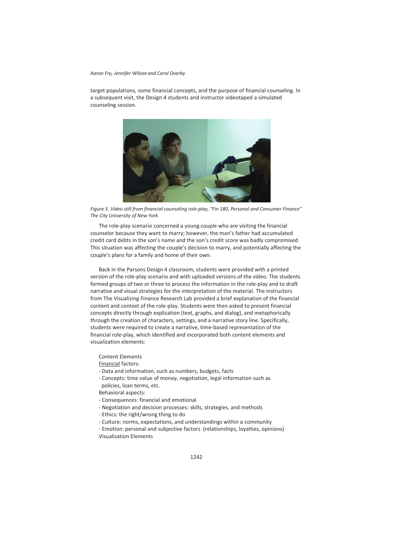target populations, some financial concepts, and the purpose of financial counseling. In a subsequent visit, the Design 4 students and instructor videotaped a simulated counseling session.



*Figure 5. Video still from financial counseling role-play, "Fin 180, Personal and Consumer Finance" The City University of New York* 

The role-play scenario concerned a young couple who are visiting the financial counselor because they want to marry; however, the man's father had accumulated credit card debts in the son's name and the son's credit score was badly compromised. This situation was affecting the couple's decision to marry, and potentially affecting the couple's plans for a family and home of their own.

Back in the Parsons Design 4 classroom, students were provided with a printed version of the role-play scenario and with uploaded versions of the video. The students formed groups of two or three to process the information in the role-play and to draft narrative and visual strategies for the interpretation of the material. The instructors from The Visualizing Finance Research Lab provided a brief explanation of the financial content and context of the role-play. Students were then asked to present financial concepts directly through explication (text, graphs, and dialog), and metaphorically through the creation of characters, settings, and a narrative story line. Specifically, students were required to create a narrative, time-based representation of the financial role-play, which identified and incorporated both content elements and visualization elements:

#### Content Elements

Financial factors:

- Data and information, such as numbers, budgets, facts
- Concepts: time value of money, negotiation, legal information such as policies, loan terms, etc.

Behavioral aspects:

- Consequences: financial and emotional
- Negotiation and decision processes: skills, strategies, and methods
- Ethics: the right/wrong thing to do
- Culture: norms, expectations, and understandings within a community
- Emotion: personal and subjective factors (relationships, loyalties, opinions) Visualization Elements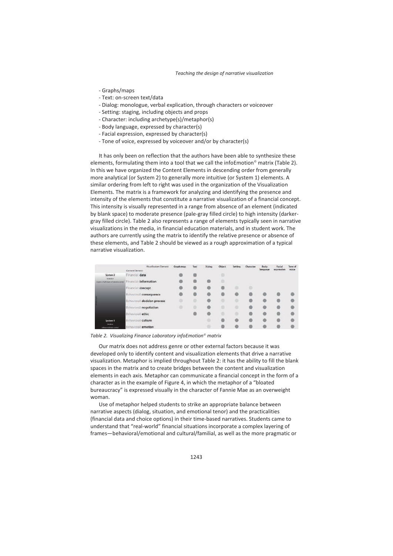- Graphs/maps
- Text: on-screen text/data
- Dialog: monologue, verbal explication, through characters or voiceover
- Setting: staging, including objects and props
- Character: including archetype(s)/metaphor(s)
- Body language, expressed by character(s)
- Facial expression, expressed by character(s)
- Tone of voice, expressed by voiceover and/or by character(s)

It has only been on reflection that the authors have been able to synthesize these elements, formulating them into a tool that we call the infoEmotion<sup>®</sup> matrix (Table 2). In this we have organized the Content Elements in descending order from generally more analytical (or System 2) to generally more intuitive (or System 1) elements. A similar ordering from left to right was used in the organization of the Visualization Elements. The matrix is a framework for analyzing and identifying the presence and intensity of the elements that constitute a narrative visualization of a financial concept. This intensity is visually represented in a range from absence of an element (indicated by blank space) to moderate presence (pale-gray filled circle) to high intensity (darkergray filled circle). Table 2 also represents a range of elements typically seen in narrative visualizations in the media, in financial education materials, and in student work. The authors are currently using the matrix to identify the relative presence or absence of these elements, and Table 2 should be viewed as a rough approximation of a typical narrative visualization.

|                                                       | <b>Visualization Element</b> | Graph/map<br>198001000 | Tuxt<br>550 | Dialog<br><b>MARCHARTH</b> | <b>Object</b> | Setting | Character | <b>Body</b><br>lancuace | Facial<br><b>Moopmenshorn</b> | Tone of<br><b>VOICH</b> |
|-------------------------------------------------------|------------------------------|------------------------|-------------|----------------------------|---------------|---------|-----------|-------------------------|-------------------------------|-------------------------|
|                                                       | Content Element:             |                        |             |                            |               |         |           | <b>WANTED</b>           |                               | -31 N SA                |
| System 2                                              | Financial data               |                        |             |                            | o             |         |           |                         |                               |                         |
| Araticistal<br>the absence of the activities made the | Financial: information       |                        |             |                            |               |         |           |                         |                               |                         |
|                                                       | Financial concept            |                        |             |                            |               |         |           |                         |                               |                         |
|                                                       | Behavioral: consequence      |                        |             |                            |               |         |           |                         |                               |                         |
|                                                       | Behavioral: decision process |                        |             |                            |               |         |           |                         |                               |                         |
|                                                       | Behavioral: negotiation      |                        |             |                            |               |         |           |                         |                               |                         |
|                                                       | Behavioral: ethic            |                        |             |                            |               |         |           |                         |                               |                         |
| System 1                                              | Behavioral: culture          |                        |             |                            |               |         |           |                         |                               |                         |
| Inc./Alan<br>and out enforcement and                  | Behavioral: emotion          |                        |             |                            |               |         |           |                         |                               |                         |

*Table 2. Visualizing Finance Laboratory infoEmotion© matrix* 

Our matrix does not address genre or other external factors because it was developed only to identify content and visualization elements that drive a narrative visualization. Metaphor is implied throughout Table 2: it has the ability to fill the blank spaces in the matrix and to create bridges between the content and visualization elements in each axis. Metaphor can communicate a financial concept in the form of a character as in the example of Figure 4, in which the metaphor of a "bloated bureaucracy" is expressed visually in the character of Fannie Mae as an overweight woman.

Use of metaphor helped students to strike an appropriate balance between narrative aspects (dialog, situation, and emotional tenor) and the practicalities (financial data and choice options) in their time-based narratives. Students came to understand that "real-world" financial situations incorporate a complex layering of frames—behavioral/emotional and cultural/familial, as well as the more pragmatic or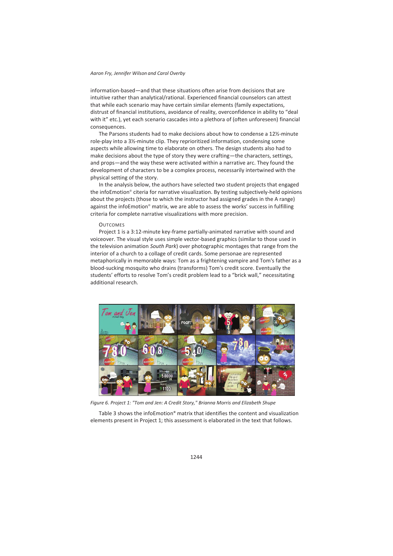information-based—and that these situations often arise from decisions that are intuitive rather than analytical/rational. Experienced financial counselors can attest that while each scenario may have certain similar elements (family expectations, distrust of financial institutions, avoidance of reality, overconfidence in ability to "deal with it" etc.), yet each scenario cascades into a plethora of (often unforeseen) financial consequences.

The Parsons students had to make decisions about how to condense a 12½-minute role-play into a 3½-minute clip. They reprioritized information, condensing some aspects while allowing time to elaborate on others. The design students also had to make decisions about the type of story they were crafting—the characters, settings, and props—and the way these were activated within a narrative arc. They found the development of characters to be a complex process, necessarily intertwined with the physical setting of the story.

In the analysis below, the authors have selected two student projects that engaged the infoEmotion<sup>®</sup> citeria for narrative visualization. By testing subjectively-held opinions about the projects (those to which the instructor had assigned grades in the A range) against the infoEmotion<sup>®</sup> matrix, we are able to assess the works' success in fulfilling criteria for complete narrative visualizations with more precision.

#### **OUTCOMES**

Project 1 is a 3:12-minute key-frame partially-animated narrative with sound and voiceover. The visual style uses simple vector-based graphics (similar to those used in the television animation *South Park*) over photographic montages that range from the interior of a church to a collage of credit cards. Some personae are represented metaphorically in memorable ways: Tom as a frightening vampire and Tom's father as a blood-sucking mosquito who drains (transforms) Tom's credit score. Eventually the students' efforts to resolve Tom's credit problem lead to a "brick wall," necessitating additional research.



*Figure 6. Project 1: "Tom and Jen: A Credit Story," Brianna Morris and Elizabeth Shupe* 

Table 3 shows the infoEmotion**©** matrix that identifies the content and visualization elements present in Project 1; this assessment is elaborated in the text that follows.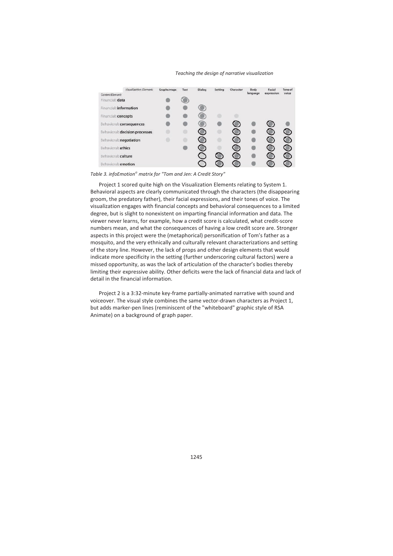| Visualization Element:         | Graphs/maps | Text | Dialog | Setting | Character      | <b>Body</b> | Facial     | Tone of        |
|--------------------------------|-------------|------|--------|---------|----------------|-------------|------------|----------------|
| Content Element:               |             |      |        |         |                | language    | expression | voice          |
| Financial: data                |             | œ    |        |         |                |             |            |                |
| Financial: information         |             |      |        |         |                |             |            |                |
| Financial: concepts            |             |      |        |         |                |             |            |                |
| Behavioral: consequences       |             |      |        |         |                |             |            |                |
| Behavioral: decision processes |             |      |        |         |                |             |            |                |
| Behavioral: negotiation        |             |      |        |         |                |             |            | $\bullet$      |
| Behavioral: ethics             |             |      |        |         | $\blacksquare$ |             |            | $\blacksquare$ |
| Behavioral: culture            |             |      |        | G       | $\circ$        |             |            |                |
| Behavioral: emotion            |             |      |        |         |                |             |            |                |

*Table 3. infoEmotion© matrix for "Tom and Jen: A Credit Story"* 

Project 1 scored quite high on the Visualization Elements relating to System 1. Behavioral aspects are clearly communicated through the characters (the disappearing groom, the predatory father), their facial expressions, and their tones of voice. The visualization engages with financial concepts and behavioral consequences to a limited degree, but is slight to nonexistent on imparting financial information and data. The viewer never learns, for example, how a credit score is calculated, what credit-score numbers mean, and what the consequences of having a low credit score are. Stronger aspects in this project were the (metaphorical) personification of Tom's father as a mosquito, and the very ethnically and culturally relevant characterizations and setting of the story line. However, the lack of props and other design elements that would indicate more specificity in the setting (further underscoring cultural factors) were a missed opportunity, as was the lack of articulation of the character's bodies thereby limiting their expressive ability. Other deficits were the lack of financial data and lack of detail in the financial information.

Project 2 is a 3:32-minute key-frame partially-animated narrative with sound and voiceover. The visual style combines the same vector-drawn characters as Project 1, but adds marker-pen lines (reminiscent of the "whiteboard" graphic style of RSA Animate) on a background of graph paper.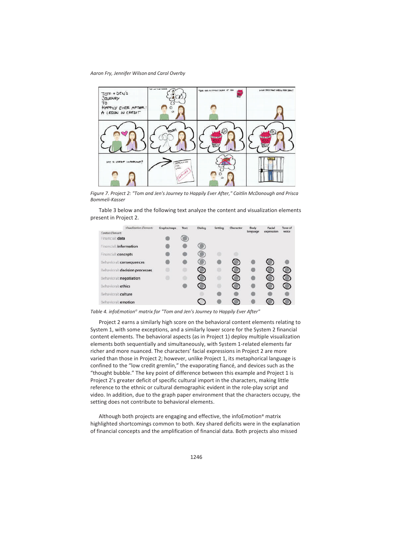

*Figure 7. Project 2: "Tom and Jen's Journey to Happily Ever After," Caitlin McDonough and Prisca Bommeli-Kasser* 

Table 3 below and the following text analyze the content and visualization elements present in Project 2.

| Visualization Element:         | Graphs/maps | Text | Dialog | Setting | Character | Body     | Facial     | Tone of |
|--------------------------------|-------------|------|--------|---------|-----------|----------|------------|---------|
| Content Element:               |             |      |        |         |           | language | expression | voice:  |
| Financial: data                |             |      |        |         |           |          |            |         |
| Financial: information         |             |      |        |         |           |          |            |         |
| Financial: concepts            |             |      | G      |         |           |          |            |         |
| Behavioral: consequences       |             |      | œ      |         | $\bullet$ |          |            |         |
| Behavioral: decision processes |             |      | 鄉      |         | O         |          |            |         |
| Behavioral: negotiation        |             |      | €      |         | ۰         |          |            |         |
| Behavioral: ethics             |             |      |        |         | œ         |          |            |         |
| Behavioral: culture            |             |      |        |         |           |          |            |         |
| Behavioral: emotion            |             |      |        |         |           |          |            |         |

*Table 4. infoEmotion© matrix for "Tom and Jen's Journey to Happily Ever After"* 

Project 2 earns a similarly high score on the behavioral content elements relating to System 1, with some exceptions, and a similarly lower score for the System 2 financial content elements. The behavioral aspects (as in Project 1) deploy multiple visualization elements both sequentially and simultaneously, with System 1-related elements far richer and more nuanced. The characters' facial expressions in Project 2 are more varied than those in Project 2; however, unlike Project 1, its metaphorical language is confined to the "low credit gremlin," the evaporating fiancé, and devices such as the "thought bubble." The key point of difference between this example and Project 1 is Project 2's greater deficit of specific cultural import in the characters, making little reference to the ethnic or cultural demographic evident in the role-play script and video. In addition, due to the graph paper environment that the characters occupy, the setting does not contribute to behavioral elements.

Although both projects are engaging and effective, the infoEmotion**©** matrix highlighted shortcomings common to both. Key shared deficits were in the explanation of financial concepts and the amplification of financial data. Both projects also missed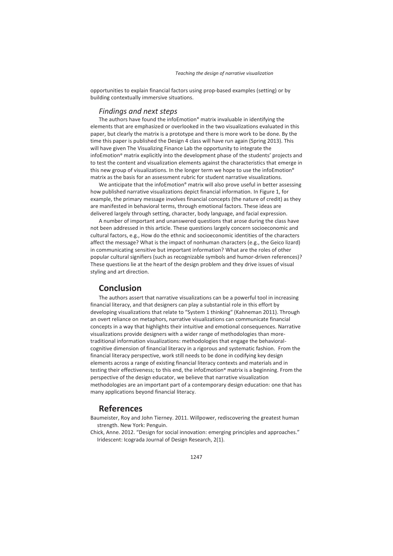opportunities to explain financial factors using prop-based examples (setting) or by building contextually immersive situations.

## *Findings and next steps*

The authors have found the infoEmotion**©** matrix invaluable in identifying the elements that are emphasized or overlooked in the two visualizations evaluated in this paper, but clearly the matrix is a prototype and there is more work to be done. By the time this paper is published the Design 4 class will have run again (Spring 2013). This will have given The Visualizing Finance Lab the opportunity to integrate the infoEmotion**©** matrix explicitly into the development phase of the students' projects and to test the content and visualization elements against the characteristics that emerge in this new group of visualizations. In the longer term we hope to use the infoEmotion**©** matrix as the basis for an assessment rubric for student narrative visualizations.

We anticipate that the infoEmotion**©** matrix will also prove useful in better assessing how published narrative visualizations depict financial information. In Figure 1, for example, the primary message involves financial concepts (the nature of credit) as they are manifested in behavioral terms, through emotional factors. These ideas are delivered largely through setting, character, body language, and facial expression.

A number of important and unanswered questions that arose during the class have not been addressed in this article. These questions largely concern socioeconomic and cultural factors, e.g., How do the ethnic and socioeconomic identities of the characters affect the message? What is the impact of nonhuman characters (e.g., the Geico lizard) in communicating sensitive but important information? What are the roles of other popular cultural signifiers (such as recognizable symbols and humor-driven references)? These questions lie at the heart of the design problem and they drive issues of visual styling and art direction.

## **Conclusion**

The authors assert that narrative visualizations can be a powerful tool in increasing financial literacy, and that designers can play a substantial role in this effort by developing visualizations that relate to "System 1 thinking" (Kahneman 2011). Through an overt reliance on metaphors, narrative visualizations can communicate financial concepts in a way that highlights their intuitive and emotional consequences. Narrative visualizations provide designers with a wider range of methodologies than moretraditional information visualizations: methodologies that engage the behavioralcognitive dimension of financial literacy in a rigorous and systematic fashion. From the financial literacy perspective, work still needs to be done in codifying key design elements across a range of existing financial literacy contexts and materials and in testing their effectiveness; to this end, the infoEmotion**©** matrix is a beginning. From the perspective of the design educator, we believe that narrative visualization methodologies are an important part of a contemporary design education: one that has many applications beyond financial literacy.

## **References**

- Baumeister, Roy and John Tierney. 2011. Willpower, rediscovering the greatest human strength. New York: Penguin.
- Chick, Anne. 2012. "Design for social innovation: emerging principles and approaches." Iridescent: Icograda Journal of Design Research, 2(1).